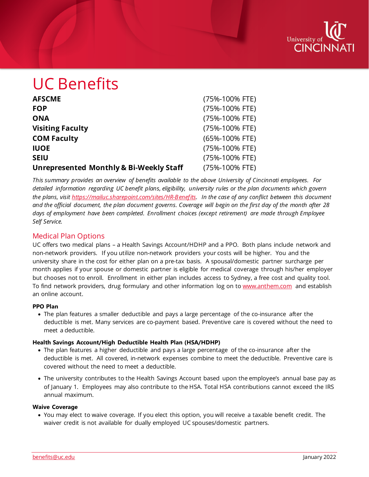

# UC Benefits

| <b>AFSCME</b>                                      | (75%-100% FTE) |
|----------------------------------------------------|----------------|
| <b>FOP</b>                                         | (75%-100% FTE) |
| <b>ONA</b>                                         | (75%-100% FTE) |
| <b>Visiting Faculty</b>                            | (75%-100% FTE) |
| <b>COM Faculty</b>                                 | (65%-100% FTE) |
| <b>IUOE</b>                                        | (75%-100% FTE) |
| <b>SEIU</b>                                        | (75%-100% FTE) |
| <b>Unrepresented Monthly &amp; Bi-Weekly Staff</b> | (75%-100% FTE) |

*This summary provides an overview of benefits available to the above University of Cincinnati employees. For detailed information regarding UC benefit plans, eligibility, university rules or the plan documents which govern the plans, visit [https://mailuc.sharepoint.com/sites/HR-Benefits.](https://mailuc.sharepoint.com/sites/HR-Benefits) In the case of any conflict between this document and the official document, the plan document governs. Coverage will begin on the first day of the month after 28 days of employment have been completed. Enrollment choices (except retirement) are made through Employee Self Service.*

## Medical Plan Options

UC offers two medical plans – a Health Savings Account/HDHP and a PPO. Both plans include network and non-network providers. If you utilize non-network providers your costs will be higher. You and the university share in the cost for either plan on a pre-tax basis. A spousal/domestic partner surcharge per month applies if your spouse or domestic partner is eligible for medical coverage through his/her employer but chooses not to enroll. Enrollment in either plan includes access to Sydney, a free cost and quality tool. To find network providers, drug formulary and other information log on t[o www.anthem.com](http://www.anthem.com/) and establish an online account.

#### **PPO Plan**

• The plan features a smaller deductible and pays a large percentage of the co-insurance after the deductible is met. Many services are co-payment based. Preventive care is covered without the need to meet a deductible.

#### **Health Savings Account/High Deductible Health Plan (HSA/HDHP)**

- The plan features a higher deductible and pays a large percentage of the co-insurance after the deductible is met. All covered, in-network expenses combine to meet the deductible. Preventive care is covered without the need to meet a deductible.
- The university contributes to the Health Savings Account based upon the employee's annual base pay as of January 1. Employees may also contribute to the HSA. Total HSA contributions cannot exceed the IRS annual maximum.

#### **Waive Coverage**

• You may elect to waive coverage. If you elect this option, you will receive a taxable benefit credit. The waiver credit is not available for dually employed UC spouses/domestic partners.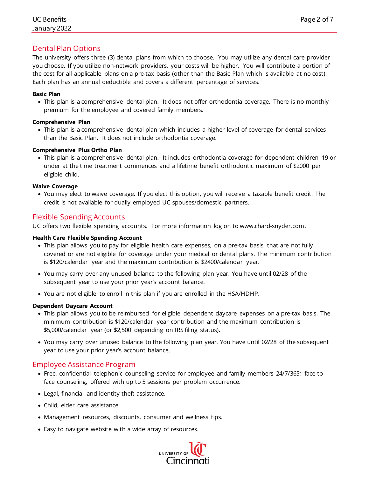## Dental Plan Options

The university offers three (3) dental plans from which to choose. You may utilize any dental care provider you choose. If you utilize non-network providers, your costs will be higher. You will contribute a portion of the cost for all applicable plans on a pre-tax basis (other than the Basic Plan which is available at no cost). Each plan has an annual deductible and covers a different percentage of services.

#### **Basic Plan**

• This plan is a comprehensive dental plan. It does not offer orthodontia coverage. There is no monthly premium for the employee and covered family members.

## **Comprehensive Plan**

• This plan is a comprehensive dental plan which includes a higher level of coverage for dental services than the Basic Plan. It does not include orthodontia coverage.

## **Comprehensive Plus Ortho Plan**

• This plan is a comprehensive dental plan. It includes orthodontia coverage for dependent children 19 or under at the time treatment commences and a lifetime benefit orthodontic maximum of \$2000 per eligible child.

## **Waive Coverage**

• You may elect to waive coverage. If you elect this option, you will receive a taxable benefit credit. The credit is not available for dually employed UC spouses/domestic partners.

## Flexible Spending Accounts

UC offers two flexible spending accounts. For more information log on to www.chard-snyder.com.

### **Health Care Flexible Spending Account**

- This plan allows you to pay for eligible health care expenses, on a pre-tax basis, that are not fully covered or are not eligible for coverage under your medical or dental plans. The minimum contribution is \$120/calendar year and the maximum contribution is \$2400/calendar year.
- You may carry over any unused balance to the following plan year. You have until 02/28 of the subsequent year to use your prior year's account balance.
- You are not eligible to enroll in this plan if you are enrolled in the HSA/HDHP.

#### **Dependent Daycare Account**

- This plan allows you to be reimbursed for eligible dependent daycare expenses on a pre-tax basis. The minimum contribution is \$120/calendar year contribution and the maximum contribution is \$5,000/calendar year (or \$2,500 depending on IRS filing status).
- You may carry over unused balance to the following plan year. You have until 02/28 of the subsequent year to use your prior year's account balance.

## Employee Assistance Program

- Free, confidential telephonic counseling service for employee and family members 24/7/365; face-toface counseling, offered with up to 5 sessions per problem occurrence.
- Legal, financial and identity theft assistance.
- Child, elder care assistance.
- Management resources, discounts, consumer and wellness tips.
- Easy to navigate website with a wide array of resources.

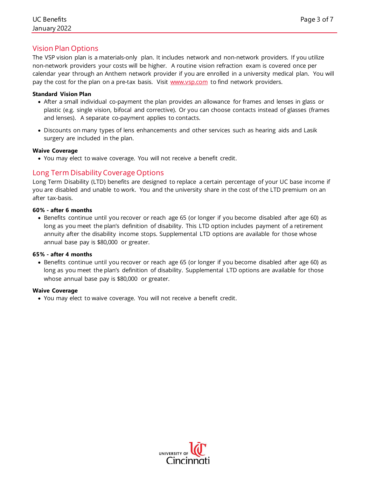The VSP vision plan is a materials-only plan. It includes network and non-network providers. If you utilize non-network providers your costs will be higher. A routine vision refraction exam is covered once per calendar year through an Anthem network provider if you are enrolled in a university medical plan. You will pay the cost for the plan on a pre-tax basis. Visit [www.vsp.com](http://www.vsp.com/) to find network providers.

#### **Standard Vision Plan**

- After a small individual co-payment the plan provides an allowance for frames and lenses in glass or plastic (e.g. single vision, bifocal and corrective). Or you can choose contacts instead of glasses (frames and lenses). A separate co-payment applies to contacts.
- Discounts on many types of lens enhancements and other services such as hearing aids and Lasik surgery are included in the plan.

#### **Waive Coverage**

• You may elect to waive coverage. You will not receive a benefit credit.

## Long Term Disability Coverage Options

Long Term Disability (LTD) benefits are designed to replace a certain percentage of your UC base income if you are disabled and unable to work. You and the university share in the cost of the LTD premium on an after tax-basis.

#### **60% - after 6 months**

• Benefits continue until you recover or reach age 65 (or longer if you become disabled after age 60) as long as you meet the plan's definition of disability. This LTD option includes payment of a retirement annuity after the disability income stops. Supplemental LTD options are available for those whose annual base pay is \$80,000 or greater.

#### **65% - after 4 months**

• Benefits continue until you recover or reach age 65 (or longer if you become disabled after age 60) as long as you meet the plan's definition of disability. Supplemental LTD options are available for those whose annual base pay is \$80,000 or greater.

#### **Waive Coverage**

• You may elect to waive coverage. You will not receive a benefit credit.

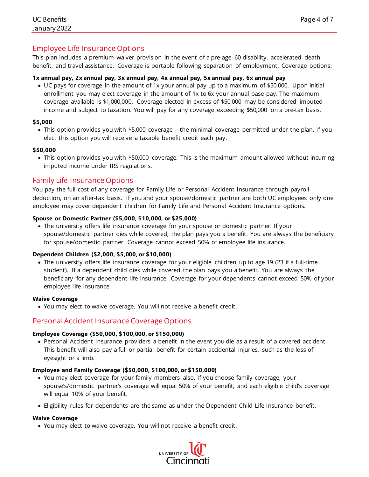## Employee Life Insurance Options

This plan includes a premium waiver provision in the event of a pre-age 60 disability, accelerated death benefit, and travel assistance. Coverage is portable following separation of employment. Coverage options:

#### **1x annual pay, 2x annual pay, 3x annual pay, 4x annual pay, 5x annual pay, 6x annual pay**

• UC pays for coverage in the amount of 1x your annual pay up to a maximum of \$50,000. Upon initial enrollment you may elect coverage in the amount of 1x to 6x your annual base pay. The maximum coverage available is \$1,000,000. Coverage elected in excess of \$50,000 may be considered imputed income and subject to taxation. You will pay for any coverage exceeding \$50,000 on a pre-tax basis.

#### **\$5,000**

• This option provides you with \$5,000 coverage – the minimal coverage permitted under the plan. If you elect this option you will receive a taxable benefit credit each pay.

#### **\$50,000**

• This option provides you with \$50,000 coverage. This is the maximum amount allowed without incurring imputed income under IRS regulations.

## Family Life Insurance Options

You pay the full cost of any coverage for Family Life or Personal Accident Insurance through payroll deduction, on an after-tax basis. If you and your spouse/domestic partner are both UC employees only one employee may cover dependent children for Family Life and Personal Accident Insurance options.

#### **Spouse or Domestic Partner (\$5,000, \$10,000, or \$25,000)**

• The university offers life insurance coverage for your spouse or domestic partner. If your spouse/domestic partner dies while covered, the plan pays you a benefit. You are always the beneficiary for spouse/domestic partner. Coverage cannot exceed 50% of employee life insurance.

#### **Dependent Children (\$2,000, \$5,000, or \$10,000)**

• The university offers life insurance coverage for your eligible children up to age 19 (23 if a full-time student). If a dependent child dies while covered the plan pays you a benefit. You are always the beneficiary for any dependent life insurance. Coverage for your dependents cannot exceed 50% of your employee life insurance.

#### **Waive Coverage**

• You may elect to waive coverage. You will not receive a benefit credit.

#### Personal Accident Insurance Coverage Options

#### **Employee Coverage (\$50,000, \$100,000, or \$150,000)**

• Personal Accident Insurance providers a benefit in the event you die as a result of a covered accident. This benefit will also pay a full or partial benefit for certain accidental injuries, such as the loss of eyesight or a limb.

#### **Employee and Family Coverage (\$50,000, \$100,000, or \$150,000)**

- You may elect coverage for your family members also. If you choose family coverage, your spouse's/domestic partner's coverage will equal 50% of your benefit, and each eligible child's coverage will equal 10% of your benefit.
- Eligibility rules for dependents are the same as under the Dependent Child Life Insurance benefit.

#### **Waive Coverage**

• You may elect to waive coverage. You will not receive a benefit credit.

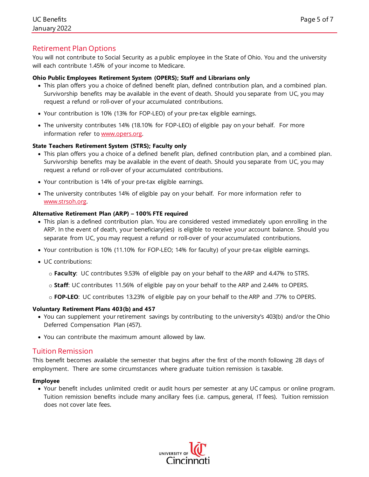## Retirement Plan Options

You will not contribute to Social Security as a public employee in the State of Ohio. You and the university will each contribute 1.45% of your income to Medicare.

#### **Ohio Public Employees Retirement System (OPERS); Staff and Librarians only**

- This plan offers you a choice of defined benefit plan, defined contribution plan, and a combined plan. Survivorship benefits may be available in the event of death. Should you separate from UC, you may request a refund or roll-over of your accumulated contributions.
- Your contribution is 10% (13% for FOP-LEO) of your pre-tax eligible earnings.
- The university contributes 14% (18.10% for FOP-LEO) of eligible pay on your behalf. For more information refer to [www.opers.org.](http://www.opers.org/)

#### **State Teachers Retirement System (STRS); Faculty only**

- This plan offers you a choice of a defined benefit plan, defined contribution plan, and a combined plan. Survivorship benefits may be available in the event of death. Should you separate from UC, you may request a refund or roll-over of your accumulated contributions.
- Your contribution is 14% of your pre-tax eligible earnings.
- The university contributes 14% of eligible pay on your behalf. For more information refer to [www.strsoh.org.](http://www.strsoh.org/)

#### **Alternative Retirement Plan (ARP) – 100% FTE required**

- This plan is a defined contribution plan. You are considered vested immediately upon enrolling in the ARP. In the event of death, your beneficiary(ies) is eligible to receive your account balance. Should you separate from UC, you may request a refund or roll-over of your accumulated contributions.
- Your contribution is 10% (11.10% for FOP-LEO; 14% for faculty) of your pre-tax eligible earnings.
- UC contributions:
	- o **Faculty**: UC contributes 9.53% of eligible pay on your behalf to the ARP and 4.47% to STRS.
	- o **Staff**: UC contributes 11.56% of eligible pay on your behalf to the ARP and 2.44% to OPERS.
	- o **FOP-LEO**: UC contributes 13.23% of eligible pay on your behalf to the ARP and .77% to OPERS.

#### **Voluntary Retirement Plans 403(b) and 457**

- You can supplement your retirement savings by contributing to the university's 403(b) and/or the Ohio Deferred Compensation Plan (457).
- You can contribute the maximum amount allowed by law.

#### Tuition Remission

This benefit becomes available the semester that begins after the first of the month following 28 days of employment. There are some circumstances where graduate tuition remission is taxable.

#### **Employee**

• Your benefit includes unlimited credit or audit hours per semester at any UC campus or online program. Tuition remission benefits include many ancillary fees (i.e. campus, general, IT fees). Tuition remission does not cover late fees.

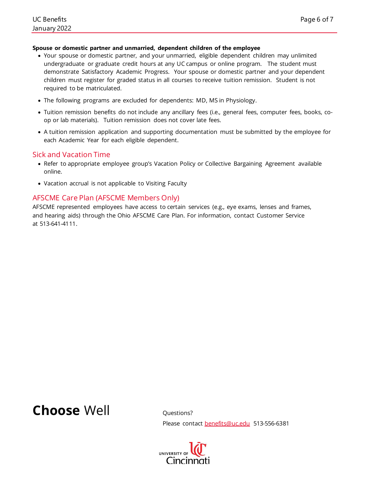#### **Spouse or domestic partner and unmarried, dependent children of the employee**

- Your spouse or domestic partner, and your unmarried, eligible dependent children may unlimited undergraduate or graduate credit hours at any UC campus or online program. The student must demonstrate Satisfactory Academic Progress. Your spouse or domestic partner and your dependent children must register for graded status in all courses to receive tuition remission. Student is not required to be matriculated.
- The following programs are excluded for dependents: MD, MS in Physiology.
- Tuition remission benefits do not include any ancillary fees (i.e., general fees, computer fees, books, coop or lab materials). Tuition remission does not cover late fees.
- A tuition remission application and supporting documentation must be submitted by the employee for each Academic Year for each eligible dependent.

#### Sick and Vacation Time

- Refer to appropriate employee group's Vacation Policy or Collective Bargaining Agreement available online.
- Vacation accrual is not applicable to Visiting Faculty

## AFSCME Care Plan (AFSCME Members Only)

AFSCME represented employees have access to certain services (e.g., eye exams, lenses and frames, and hearing aids) through the Ohio AFSCME Care Plan. For information, contact Customer Service at 513-641-4111.

## **Choose** Well Questions?

Please contact [benefits@uc.edu](mailto:benefits@uc.edu) 513-556-6381